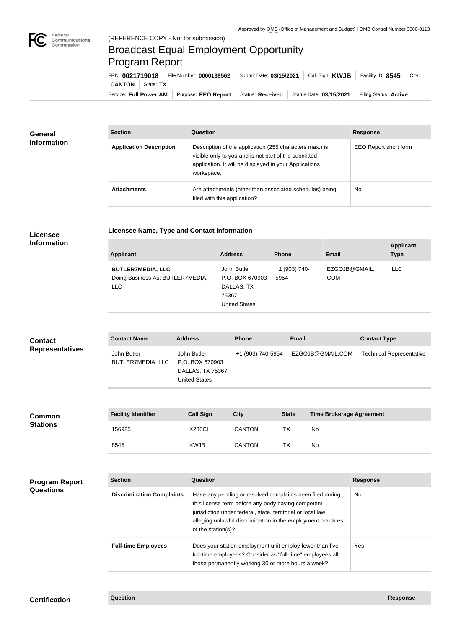

п

## Broadcast Equal Employment Opportunity Program Report

**Licensee Name, Type and Contact Information**

Service: Full Power AM | Purpose: EEO Report | Status: Received | Status Date: 03/15/2021 | Filing Status: Active **CANTON** State: **TX** FRN: **0021719018** File Number: **0000139562** Submit Date: **03/15/2021** Call Sign: **KWJB** Facility ID: **8545** City:

| <b>General</b><br><b>Information</b> | <b>Section</b>                 | Question                                                                                                                                                                                | <b>Response</b>       |
|--------------------------------------|--------------------------------|-----------------------------------------------------------------------------------------------------------------------------------------------------------------------------------------|-----------------------|
|                                      | <b>Application Description</b> | Description of the application (255 characters max.) is<br>visible only to you and is not part of the submitted<br>application. It will be displayed in your Applications<br>workspace. | EEO Report short form |
|                                      | <b>Attachments</b>             | Are attachments (other than associated schedules) being<br>filed with this application?                                                                                                 | <b>No</b>             |

## **Licensee Information**

| <b>Applicant</b>                                                           | <b>Address</b>                                                                | <b>Phone</b>          | <b>Email</b>                | <b>Applicant</b><br><b>Type</b> |
|----------------------------------------------------------------------------|-------------------------------------------------------------------------------|-----------------------|-----------------------------|---------------------------------|
| <b>BUTLER7MEDIA, LLC</b><br>Doing Business As: BUTLER7MEDIA,<br><b>LLC</b> | John Butler<br>P.O. BOX 670903<br>DALLAS, TX<br>75367<br><b>United States</b> | +1 (903) 740-<br>5954 | EZGOJB@GMAIL.<br><b>COM</b> | LLC.                            |

| <b>Contact</b>         | <b>Contact Name</b>              | <b>Address</b>                                                             | <b>Phone</b>      | <b>Email</b>     | <b>Contact Type</b>             |
|------------------------|----------------------------------|----------------------------------------------------------------------------|-------------------|------------------|---------------------------------|
| <b>Representatives</b> | John Butler<br>BUTLER7MEDIA, LLC | John Butler<br>P.O. BOX 670903<br>DALLAS, TX 75367<br><b>United States</b> | +1 (903) 740-5954 | EZGOJB@GMAIL.COM | <b>Technical Representative</b> |

| <b>Common</b><br><b>Stations</b> | <b>Facility Identifier</b> | <b>Call Sign</b> | <b>City</b>   | <b>State</b> | <b>Time Brokerage Agreement</b> |
|----------------------------------|----------------------------|------------------|---------------|--------------|---------------------------------|
|                                  | 156925                     | <b>K236CH</b>    | <b>CANTON</b> | <b>TX</b>    | <b>No</b>                       |
|                                  | 8545                       | <b>KWJB</b>      | <b>CANTON</b> | <b>TX</b>    | No                              |

| <b>Program Report</b> |
|-----------------------|
| <b>Questions</b>      |

| <b>Section</b>                   | Question                                                                                                                                                                                                                                                              | <b>Response</b> |
|----------------------------------|-----------------------------------------------------------------------------------------------------------------------------------------------------------------------------------------------------------------------------------------------------------------------|-----------------|
| <b>Discrimination Complaints</b> | Have any pending or resolved complaints been filed during<br>this license term before any body having competent<br>jurisdiction under federal, state, territorial or local law,<br>alleging unlawful discrimination in the employment practices<br>of the station(s)? | No.             |
| <b>Full-time Employees</b>       | Does your station employment unit employ fewer than five<br>full-time employees? Consider as "full-time" employees all<br>those permanently working 30 or more hours a week?                                                                                          | Yes             |